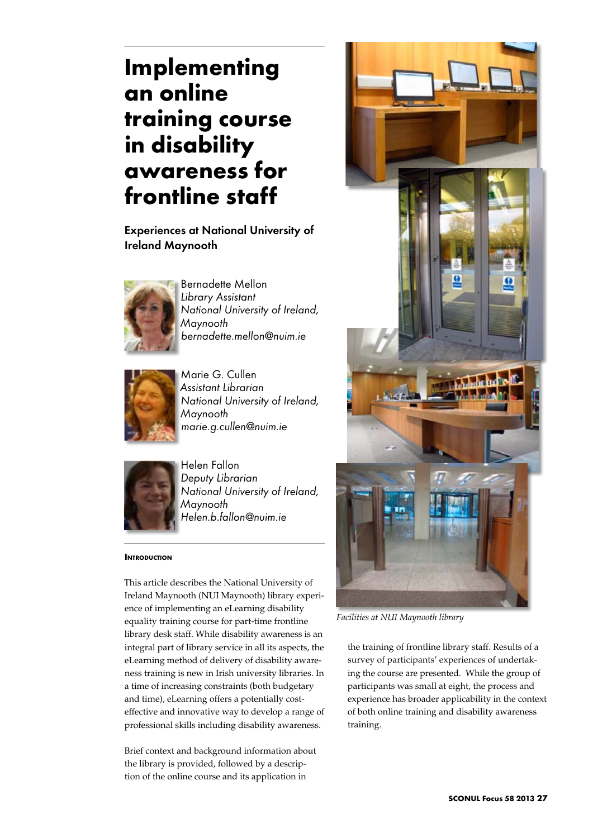# **Implementing an online training course in disability awareness for frontline staff**

Experiences at National University of Ireland Maynooth



Bernadette Mellon *Library Assistant National University of Ireland, Maynooth bernadette.mellon@nuim.ie*



Marie G. Cullen *Assistant Librarian National University of Ireland, Maynooth marie.g.cullen@nuim.ie*



Helen Fallon *Deputy Librarian National University of Ireland, Maynooth Helen.b.fallon@nuim.ie*

# **INTRODUCTION**

This article describes the National University of Ireland Maynooth (NUI Maynooth) library experience of implementing an eLearning disability equality training course for part-time frontline library desk staff. While disability awareness is an integral part of library service in all its aspects, the eLearning method of delivery of disability awareness training is new in Irish university libraries. In a time of increasing constraints (both budgetary and time), eLearning offers a potentially costeffective and innovative way to develop a range of professional skills including disability awareness.

Brief context and background information about the library is provided, followed by a description of the online course and its application in



*Facilities at NUI Maynooth library*

the training of frontline library staff. Results of a survey of participants' experiences of undertaking the course are presented. While the group of participants was small at eight, the process and experience has broader applicability in the context of both online training and disability awareness training.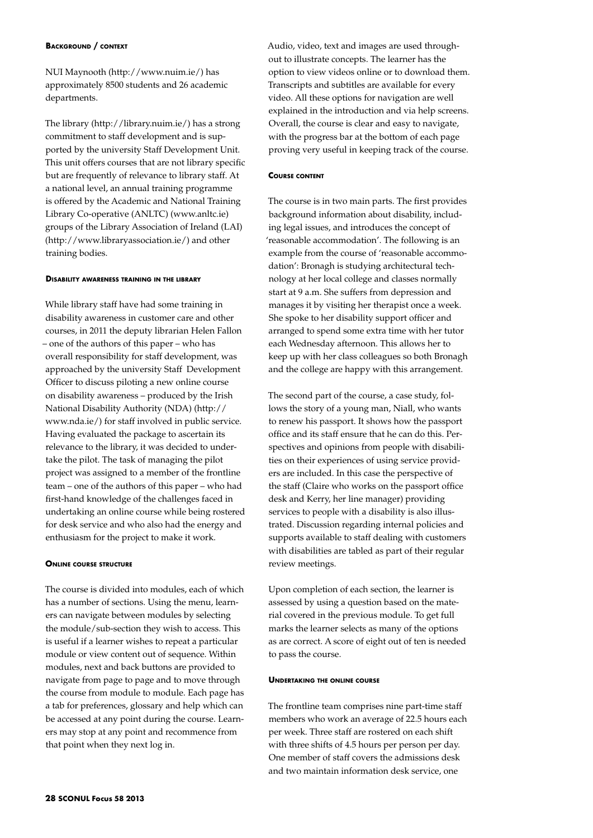#### **Background / context**

NUI Maynooth (http://www.nuim.ie/) has approximately 8500 students and 26 academic departments.

The library (http://library.nuim.ie/) has a strong commitment to staff development and is supported by the university Staff Development Unit. This unit offers courses that are not library specific but are frequently of relevance to library staff. At a national level, an annual training programme is offered by the Academic and National Training Library Co-operative (ANLTC) (www.anltc.ie) groups of the Library Association of Ireland (LAI) (http://www.libraryassociation.ie/) and other training bodies.

## **Disability awareness training in the library**

While library staff have had some training in disability awareness in customer care and other courses, in 2011 the deputy librarian Helen Fallon – one of the authors of this paper – who has overall responsibility for staff development, was approached by the university Staff Development Officer to discuss piloting a new online course on disability awareness – produced by the Irish National Disability Authority (NDA) (http:// www.nda.ie/) for staff involved in public service. Having evaluated the package to ascertain its relevance to the library, it was decided to undertake the pilot. The task of managing the pilot project was assigned to a member of the frontline team – one of the authors of this paper – who had first-hand knowledge of the challenges faced in undertaking an online course while being rostered for desk service and who also had the energy and enthusiasm for the project to make it work.

#### **Online course structure**

The course is divided into modules, each of which has a number of sections. Using the menu, learners can navigate between modules by selecting the module/sub-section they wish to access. This is useful if a learner wishes to repeat a particular module or view content out of sequence. Within modules, next and back buttons are provided to navigate from page to page and to move through the course from module to module. Each page has a tab for preferences, glossary and help which can be accessed at any point during the course. Learners may stop at any point and recommence from that point when they next log in.

Audio, video, text and images are used throughout to illustrate concepts. The learner has the option to view videos online or to download them. Transcripts and subtitles are available for every video. All these options for navigation are well explained in the introduction and via help screens. Overall, the course is clear and easy to navigate, with the progress bar at the bottom of each page proving very useful in keeping track of the course.

#### **Course content**

The course is in two main parts. The first provides background information about disability, including legal issues, and introduces the concept of 'reasonable accommodation'. The following is an example from the course of 'reasonable accommodation': Bronagh is studying architectural technology at her local college and classes normally start at 9 a.m. She suffers from depression and manages it by visiting her therapist once a week. She spoke to her disability support officer and arranged to spend some extra time with her tutor each Wednesday afternoon. This allows her to keep up with her class colleagues so both Bronagh and the college are happy with this arrangement.

The second part of the course, a case study, follows the story of a young man, Niall, who wants to renew his passport. It shows how the passport office and its staff ensure that he can do this. Perspectives and opinions from people with disabilities on their experiences of using service providers are included. In this case the perspective of the staff (Claire who works on the passport office desk and Kerry, her line manager) providing services to people with a disability is also illustrated. Discussion regarding internal policies and supports available to staff dealing with customers with disabilities are tabled as part of their regular review meetings.

Upon completion of each section, the learner is assessed by using a question based on the material covered in the previous module. To get full marks the learner selects as many of the options as are correct. A score of eight out of ten is needed to pass the course.

### **Undertaking the online course**

The frontline team comprises nine part-time staff members who work an average of 22.5 hours each per week. Three staff are rostered on each shift with three shifts of 4.5 hours per person per day. One member of staff covers the admissions desk and two maintain information desk service, one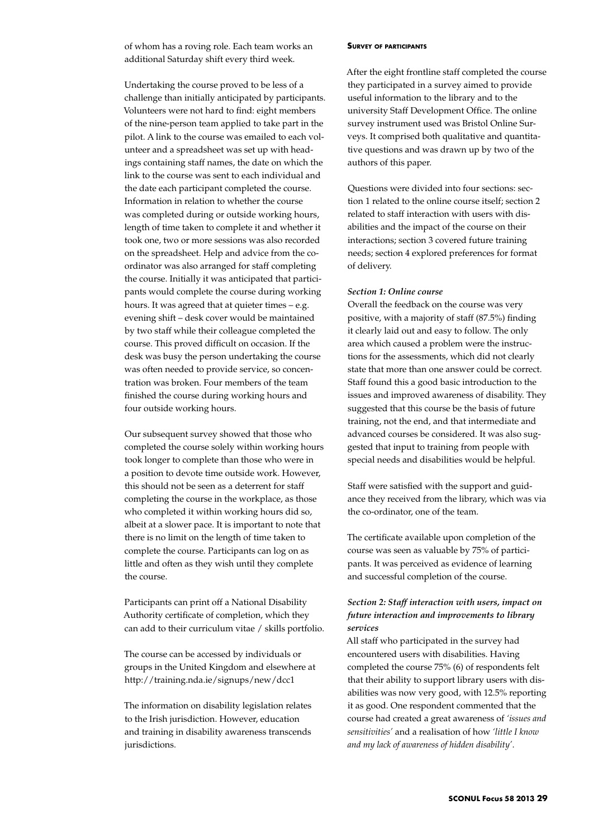of whom has a roving role. Each team works an additional Saturday shift every third week.

Undertaking the course proved to be less of a challenge than initially anticipated by participants. Volunteers were not hard to find: eight members of the nine-person team applied to take part in the pilot. A link to the course was emailed to each volunteer and a spreadsheet was set up with headings containing staff names, the date on which the link to the course was sent to each individual and the date each participant completed the course. Information in relation to whether the course was completed during or outside working hours, length of time taken to complete it and whether it took one, two or more sessions was also recorded on the spreadsheet. Help and advice from the coordinator was also arranged for staff completing the course. Initially it was anticipated that participants would complete the course during working hours. It was agreed that at quieter times – e.g. evening shift – desk cover would be maintained by two staff while their colleague completed the course. This proved difficult on occasion. If the desk was busy the person undertaking the course was often needed to provide service, so concentration was broken. Four members of the team finished the course during working hours and four outside working hours.

Our subsequent survey showed that those who completed the course solely within working hours took longer to complete than those who were in a position to devote time outside work. However, this should not be seen as a deterrent for staff completing the course in the workplace, as those who completed it within working hours did so, albeit at a slower pace. It is important to note that there is no limit on the length of time taken to complete the course. Participants can log on as little and often as they wish until they complete the course.

Participants can print off a National Disability Authority certificate of completion, which they can add to their curriculum vitae / skills portfolio.

The course can be accessed by individuals or groups in the United Kingdom and elsewhere at http://training.nda.ie/signups/new/dcc1

The information on disability legislation relates to the Irish jurisdiction. However, education and training in disability awareness transcends jurisdictions.

#### **Survey of participants**

After the eight frontline staff completed the course they participated in a survey aimed to provide useful information to the library and to the university Staff Development Office. The online survey instrument used was Bristol Online Surveys. It comprised both qualitative and quantitative questions and was drawn up by two of the authors of this paper.

Questions were divided into four sections: section 1 related to the online course itself; section 2 related to staff interaction with users with disabilities and the impact of the course on their interactions; section 3 covered future training needs; section 4 explored preferences for format of delivery.

#### *Section 1: Online course*

Overall the feedback on the course was very positive, with a majority of staff (87.5%) finding it clearly laid out and easy to follow. The only area which caused a problem were the instructions for the assessments, which did not clearly state that more than one answer could be correct. Staff found this a good basic introduction to the issues and improved awareness of disability. They suggested that this course be the basis of future training, not the end, and that intermediate and advanced courses be considered. It was also suggested that input to training from people with special needs and disabilities would be helpful.

Staff were satisfied with the support and guidance they received from the library, which was via the co-ordinator, one of the team.

The certificate available upon completion of the course was seen as valuable by 75% of participants. It was perceived as evidence of learning and successful completion of the course.

# *Section 2: Staff interaction with users, impact on future interaction and improvements to library services*

All staff who participated in the survey had encountered users with disabilities. Having completed the course 75% (6) of respondents felt that their ability to support library users with disabilities was now very good, with 12.5% reporting it as good. One respondent commented that the course had created a great awareness of *'issues and sensitivities'* and a realisation of how *'little I know and my lack of awareness of hidden disability'*.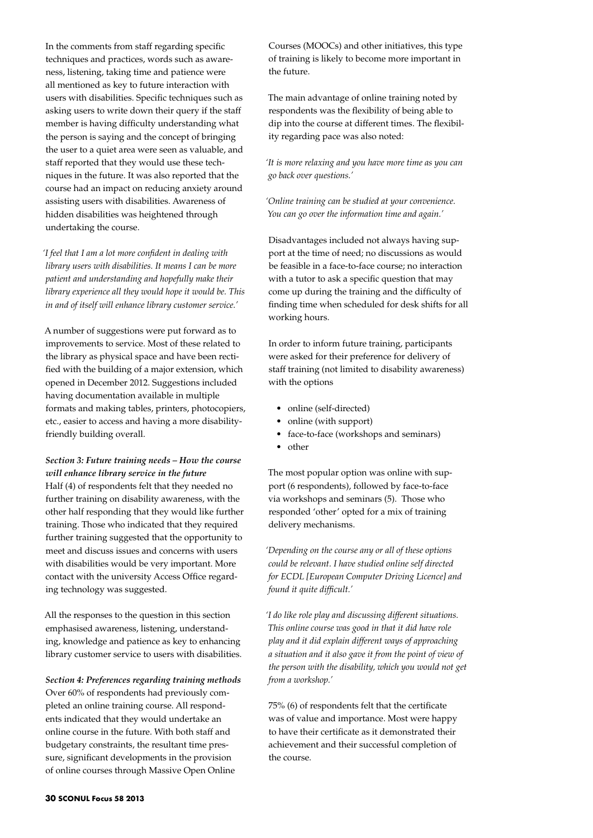In the comments from staff regarding specific techniques and practices, words such as awareness, listening, taking time and patience were all mentioned as key to future interaction with users with disabilities. Specific techniques such as asking users to write down their query if the staff member is having difficulty understanding what the person is saying and the concept of bringing the user to a quiet area were seen as valuable, and staff reported that they would use these techniques in the future. It was also reported that the course had an impact on reducing anxiety around assisting users with disabilities. Awareness of hidden disabilities was heightened through undertaking the course.

*'I feel that I am a lot more confident in dealing with library users with disabilities. It means I can be more patient and understanding and hopefully make their library experience all they would hope it would be. This in and of itself will enhance library customer service.'*

A number of suggestions were put forward as to improvements to service. Most of these related to the library as physical space and have been rectified with the building of a major extension, which opened in December 2012. Suggestions included having documentation available in multiple formats and making tables, printers, photocopiers, etc., easier to access and having a more disabilityfriendly building overall.

*Section 3: Future training needs – How the course will enhance library service in the future*  Half (4) of respondents felt that they needed no further training on disability awareness, with the other half responding that they would like further training. Those who indicated that they required further training suggested that the opportunity to meet and discuss issues and concerns with users with disabilities would be very important. More contact with the university Access Office regarding technology was suggested.

All the responses to the question in this section emphasised awareness, listening, understanding, knowledge and patience as key to enhancing library customer service to users with disabilities.

*Section 4: Preferences regarding training methods*  Over 60% of respondents had previously completed an online training course. All respondents indicated that they would undertake an online course in the future. With both staff and budgetary constraints, the resultant time pressure, significant developments in the provision of online courses through Massive Open Online

Courses (MOOCs) and other initiatives, this type of training is likely to become more important in the future.

The main advantage of online training noted by respondents was the flexibility of being able to dip into the course at different times. The flexibility regarding pace was also noted:

*'It is more relaxing and you have more time as you can go back over questions.'*

*'Online training can be studied at your convenience. You can go over the information time and again.'*

Disadvantages included not always having support at the time of need; no discussions as would be feasible in a face-to-face course; no interaction with a tutor to ask a specific question that may come up during the training and the difficulty of finding time when scheduled for desk shifts for all working hours.

In order to inform future training, participants were asked for their preference for delivery of staff training (not limited to disability awareness) with the options

- online (self-directed)
- online (with support)
- face-to-face (workshops and seminars)
- other

The most popular option was online with support (6 respondents), followed by face-to-face via workshops and seminars (5). Those who responded 'other' opted for a mix of training delivery mechanisms.

*'Depending on the course any or all of these options could be relevant. I have studied online self directed for ECDL [European Computer Driving Licence] and found it quite difficult.'* 

*'I do like role play and discussing different situations. This online course was good in that it did have role play and it did explain different ways of approaching a situation and it also gave it from the point of view of the person with the disability, which you would not get from a workshop.'*

75% (6) of respondents felt that the certificate was of value and importance. Most were happy to have their certificate as it demonstrated their achievement and their successful completion of the course.